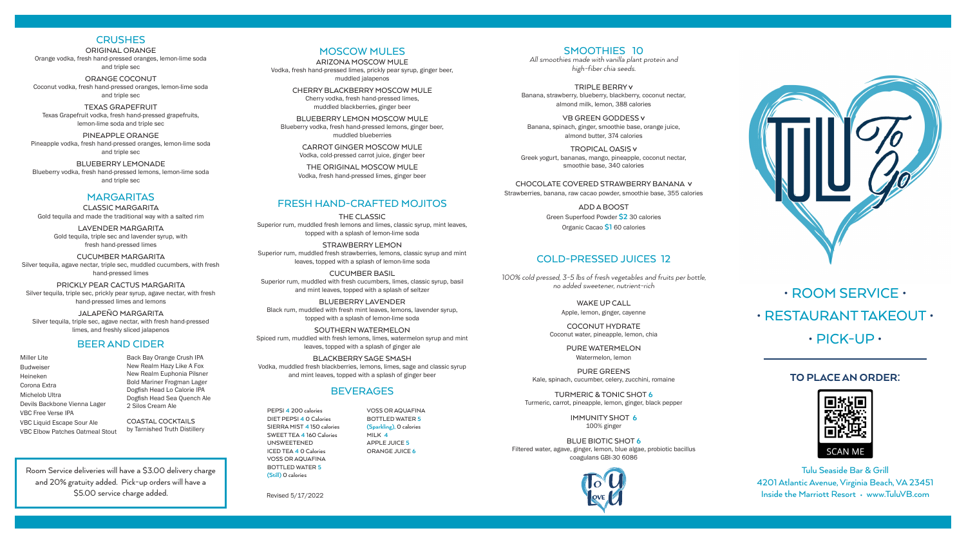## TO PLACE AN ORDER:



SMOOTHIES 10

*All smoothies made with vanilla plant protein and high-fiber chia seeds.*

TRIPLE BERRY V Banana, strawberry, blueberry, blackberry, coconut nectar, almond milk, lemon, 388 calories

VB GREEN GODDESS V Banana, spinach, ginger, smoothie base, orange juice, almond butter, 374 calories

TROPICAL OASIS V Greek yogurt, bananas, mango, pineapple, coconut nectar, smoothie base, 340 calories

CHOCOLATE COVERED STRAWBERRY BANANA V Strawberries, banana, raw cacao powder, smoothie base, 355 calories

> ADD A BOOST Green Superfood Powder **\$2** 30 calories

> > Organic Cacao **\$1** 60 calories

## COLD-PRESSED JUICES 12

*100% cold pressed, 3-5 lbs of fresh vegetables and fruits per bottle, no added sweetener, nutrient-rich*

> WAKE UP CALL Apple, lemon, ginger, cayenne

COCONUT HYDRATE Coconut water, pineapple, lemon, chia

> PURE WATERMELON Watermelon, lemon

PURE GREENS Kale, spinach, cucumber, celery, zucchini, romaine

TURMERIC & TONIC SHOT **6** Turmeric, carrot, pineapple, lemon, ginger, black pepper

> IMMUNITY SHOT **6** 100% ginger

BLUE BIOTIC SHOT **6** Filtered water, agave, ginger, lemon, blue algae, probiotic bacillus coagulans GBI-30 6086





PEPSI **4** 200 calories DIET PEPSI **4** 0 Calories SIERRA MIST **4** 150 calories SWEET TEA **4** 160 Calories UNSWEETENED ICED TEA **4** 0 Calories VOSS OR AQUAFINA BOTTLED WATER **5 (Still)** 0 calories

VOSS OR AQUAFINA BOTTLED WATER **5 (Sparkling),** 0 calories MILK **4** APPLE JUICE **5** ORANGE JUICE **6**

# • ROOM SERVICE •

## • RESTAURANT TAKEOUT •

## $\cdot$  PICK-UP $\cdot$

## **CRUSHES**

ORIGINAL ORANGE Orange vodka, fresh hand-pressed oranges, lemon-lime soda and triple sec

ORANGE COCONUT Coconut vodka, fresh hand-pressed oranges, lemon-lime soda and triple sec

TEXAS GRAPEFRUIT Texas Grapefruit vodka, fresh hand-pressed grapefruits, lemon-lime soda and triple sec

PINEAPPLE ORANGE Pineapple vodka, fresh hand-pressed oranges, lemon-lime soda and triple sec

BLUEBERRY LEMONADE Blueberry vodka, fresh hand-pressed lemons, lemon-lime soda and triple sec

#### **MARGARITAS**

CLASSIC MARGARITA Gold tequila and made the traditional way with a salted rim

LAVENDER MARGARITA Gold tequila, triple sec and lavender syrup, with fresh hand-pressed limes

CUCUMBER MARGARITA Silver tequila, agave nectar, triple sec, muddled cucumbers, with fresh hand-pressed limes

PRICKLY PEAR CACTUS MARGARITA Silver tequila, triple sec, prickly pear syrup, agave nectar, with fresh hand-pressed limes and lemons

JALAPEÑO MARGARITA Silver tequila, triple sec, agave nectar, with fresh hand-pressed limes, and freshly sliced jalapenos

#### FRESH HAND-CRAFTED MOJITOS

THE CLASSIC Superior rum, muddled fresh lemons and limes, classic syrup, mint leaves, topped with a splash of lemon-lime soda

STRAWBERRY LEMON Superior rum, muddled fresh strawberries, lemons, classic syrup and mint leaves, topped with a splash of lemon-lime soda

CUCUMBER BASIL Superior rum, muddled with fresh cucumbers, limes, classic syrup, basil and mint leaves, topped with a splash of seltzer

BLUEBERRY LAVENDER Black rum, muddled with fresh mint leaves, lemons, lavender syrup, topped with a splash of lemon-lime soda

SOUTHERN WATERMELON Spiced rum, muddled with fresh lemons, limes, watermelon syrup and mint leaves, topped with a splash of ginger ale

BLACKBERRY SAGE SMASH Vodka, muddled fresh blackberries, lemons, limes, sage and classic syrup and mint leaves, topped with a splash of ginger beer

## **BEVERAGES**

#### MOSCOW MULES

ARIZONA MOSCOW MULE Vodka, fresh hand-pressed limes, prickly pear syrup, ginger beer, muddled jalapenos

CHERRY BLACKBERRY MOSCOW MULE Cherry vodka, fresh hand-pressed limes, muddled blackberries, ginger beer

BLUEBERRY LEMON MOSCOW MULE Blueberry vodka, fresh hand-pressed lemons, ginger beer, muddled blueberries

> CARROT GINGER MOSCOW MULE Vodka, cold-pressed carrot juice, ginger beer

THE ORIGINAL MOSCOW MULE Vodka, fresh hand-pressed limes, ginger beer

Room Service deliveries will have a \$3.00 delivery charge and 20% gratuity added. Pick-up orders will have a \$5.00 service charge added.

Tulu Seaside Bar & Grill 4201 Atlantic Avenue, Virginia Beach, VA 23451 Inside the Marriott Resort • www.TuluVB.com

## BEER AND CIDER

Miller Lite Budweiser Heineken Corona Extra Michelob Ultra Devils Backbone Vienna Lager VBC Free Verse IPA VBC Liquid Escape Sour Ale VBC Elbow Patches Oatmeal Stout

Back Bay Orange Crush IPA New Realm Hazy Like A Fox New Realm Euphonia Pilsner Bold Mariner Frogman Lager Dogfish Head Lo Calorie IPA Dogfish Head Sea Quench Ale 2 Silos Cream Ale COASTAL COCKTAILS

by Tarnished Truth Distillery

Revised 5/17/2022